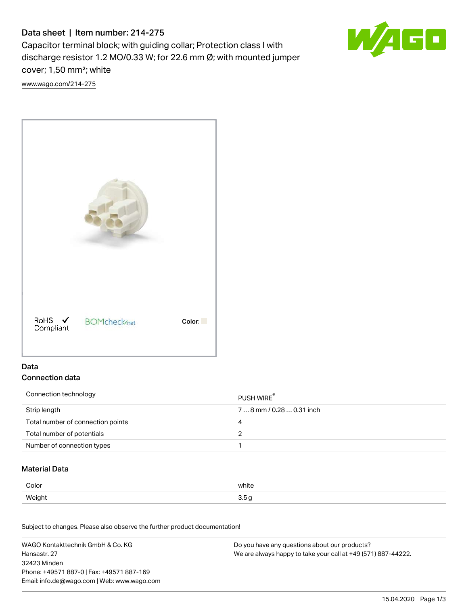# Data sheet | Item number: 214-275

Capacitor terminal block; with guiding collar; Protection class I with discharge resistor 1.2 MO/0.33 W; for 22.6 mm Ø; with mounted jumper cover; 1,50 mm²; white

[www.wago.com/214-275](http://www.wago.com/214-275)





### Data Connection data

| Connection technology             | PUSH WIRE <sup>®</sup>    |
|-----------------------------------|---------------------------|
| Strip length                      | 7  8 mm / 0.28  0.31 inch |
| Total number of connection points | 4                         |
| Total number of potentials        |                           |
| Number of connection types        |                           |

### Material Data

| Color  | white     |
|--------|-----------|
| Weight | -<br>. н. |

Subject to changes. Please also observe the further product documentation!

WAGO Kontakttechnik GmbH & Co. KG Hansastr. 27 32423 Minden Phone: +49571 887-0 | Fax: +49571 887-169 Email: info.de@wago.com | Web: www.wago.com Do you have any questions about our products? We are always happy to take your call at +49 (571) 887-44222.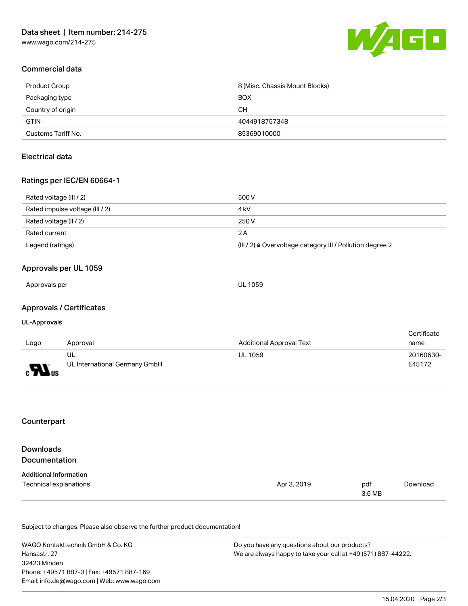

## Commercial data

| Product Group      | 8 (Misc. Chassis Mount Blocks) |
|--------------------|--------------------------------|
| Packaging type     | <b>BOX</b>                     |
| Country of origin  | CН                             |
| <b>GTIN</b>        | 4044918757348                  |
| Customs Tariff No. | 85369010000                    |

### Electrical data

### Ratings per IEC/EN 60664-1

| Rated voltage (III / 2)         | 500 V                                                                 |
|---------------------------------|-----------------------------------------------------------------------|
| Rated impulse voltage (III / 2) | 4 kV                                                                  |
| Rated voltage (II / 2)          | 250 V                                                                 |
| Rated current                   | 2 A                                                                   |
| Legend (ratings)                | $(III / 2)$ $\triangle$ Overvoltage category III / Pollution degree 2 |

### Approvals per UL 1059

| Approvals per | UL 1059 |
|---------------|---------|
|---------------|---------|

### Approvals / Certificates

#### UL-Approvals

|                            |                               |                                 | Certificate |
|----------------------------|-------------------------------|---------------------------------|-------------|
| Logo                       | Approval                      | <b>Additional Approval Text</b> | name        |
|                            | UL                            | <b>UL 1059</b>                  | 20160630-   |
| $\mathbf{F}$<br><b>SUS</b> | UL International Germany GmbH |                                 | E45172      |

### **Counterpart**

| Downloads                     |             |               |          |
|-------------------------------|-------------|---------------|----------|
| <b>Documentation</b>          |             |               |          |
| <b>Additional Information</b> |             |               |          |
| Technical explanations        | Apr 3, 2019 | pdf<br>3.6 MB | Download |

Subject to changes. Please also observe the further product documentation!

WAGO Kontakttechnik GmbH & Co. KG Hansastr. 27 32423 Minden Phone: +49571 887-0 | Fax: +49571 887-169 Email: info.de@wago.com | Web: www.wago.com Do you have any questions about our products? We are always happy to take your call at +49 (571) 887-44222.